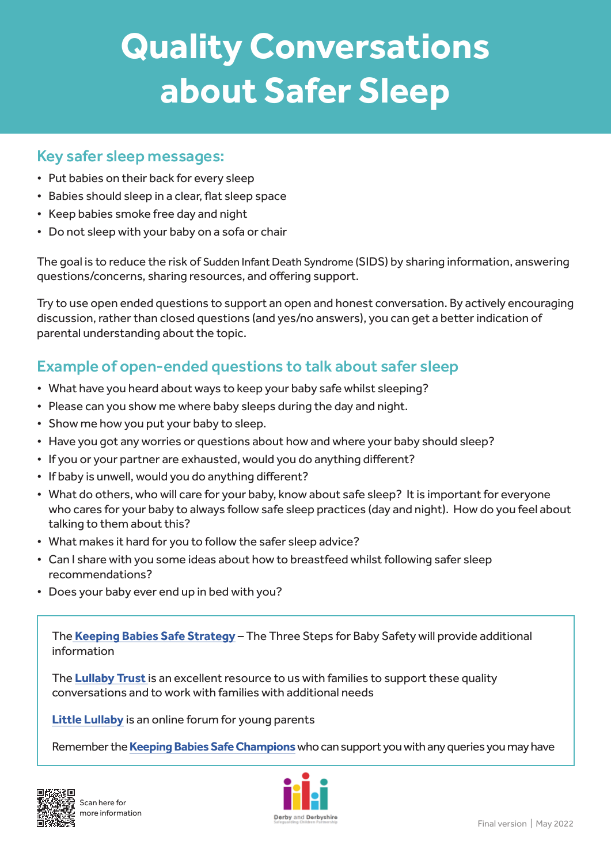# **Quality Conversations about Safer Sleep**

#### Key safer sleep messages:

- Put babies on their back for every sleep
- Babies should sleep in a clear, flat sleep space
- Keep babies smoke free day and night
- Do not sleep with your baby on a sofa or chair

The goal is to reduce the risk of Sudden Infant Death Syndrome (SIDS) by sharing information, answering questions/concerns, sharing resources, and offering support.

Try to use open ended questions to support an open and honest conversation. By actively encouraging discussion, rather than closed questions (and yes/no answers), you can get a better indication of parental understanding about the topic.

### Example of open-ended questions to talk about safer sleep

- What have you heard about ways to keep your baby safe whilst sleeping?
- Please can you show me where baby sleeps during the day and night.
- Show me how you put your baby to sleep.
- Have you got any worries or questions about how and where your baby should sleep?
- If you or your partner are exhausted, would you do anything different?
- If baby is unwell, would you do anything different?
- What do others, who will care for your baby, know about safe sleep? It is important for everyone who cares for your baby to always follow safe sleep practices (day and night). How do you feel about talking to them about this?
- What makes it hard for you to follow the safer sleep advice?
- Can I share with you some ideas about how to breastfeed whilst following safer sleep recommendations?
- Does your baby ever end up in bed with you?

The **[Keeping Babies Safe Strategy](https://www.proceduresonline.com/derbyshire/scbs/user_controlled_lcms_area/uploaded_files/Keeping%20Babies%20Safe%20Strategy%20Feb%202021.pdf)** – The Three Steps for Baby Safety will provide additional information

The **[Lullaby Trust](https://www.lullabytrust.org.uk/)** is an excellent resource to us with families to support these quality conversations and to work with families with additional needs

**[Little Lullaby](https://littlelullaby.org.uk/)** is an online forum for young parents

Remember the **[Keeping Babies Safe Champions](https://www.ddscp.org.uk/staff-and-volunteers/info-and-resources/pregnant-women/)** who can support you with any queries you may have